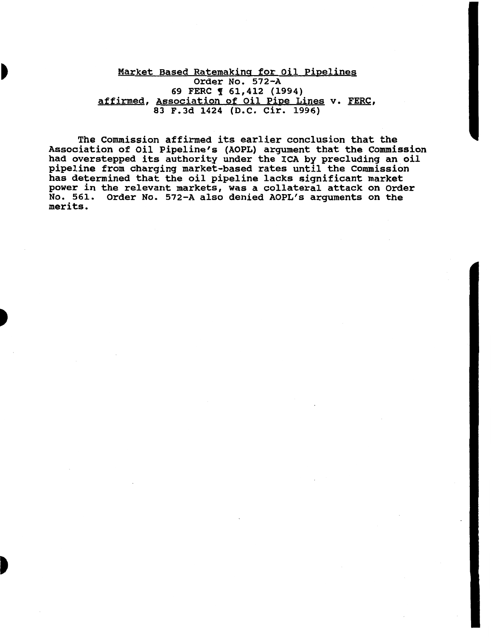Market Based Ratemaking for Oil Pipelines Order No. 572-A 69 FERC **[** 61,412 (1994) affirmed, Association of Oil Pipe Lines v. FERC, 83 F.Jd 1424 (D.C. Cir. 1996)

The Commission affirmed its earlier conclusion that the Association of Oil Pipeline's (AOPL) argument that the Commission had overstepped its authority under the ICA by precluding an oil pipeline from charging market-based rates until the Commission has determined that the oil pipeline lacks significant market power in the relevant markets, was a collateral attack on Order No. 561. Order No. 572-A also denied AOPL's arguments on the merits.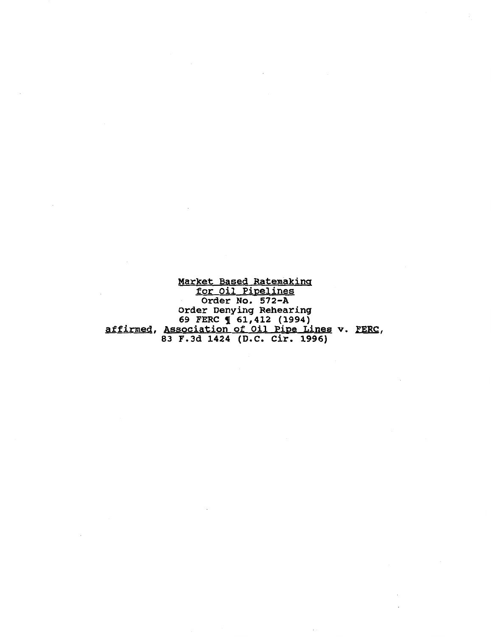Market Based Ratemaking for Oil Pipelines Order No. 572-A Order Denying Rehearing 69 FERC **1** 61,412 (1994) affirmed, Association of Oil Pipe Lines v. FERC, 83 F.3d 1424 (D.C. Cir. 1996)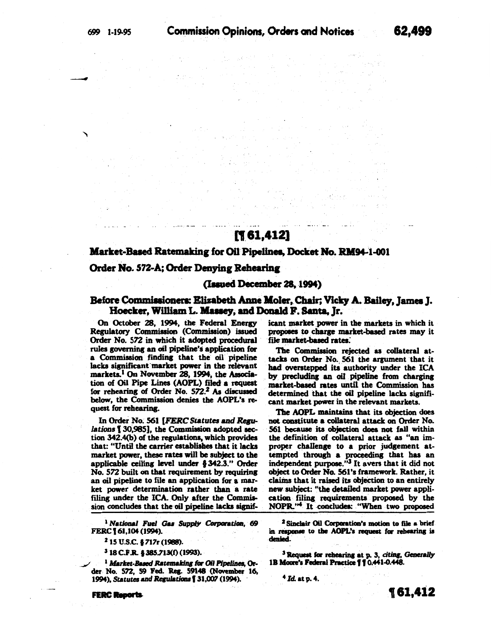to armst

# تبيض الماكسات المسمائينا فللباذ [161,412]

**Provide** 

## Market-Based Ratemaking for Oil Pipelines, Docket No. RM94-1-001

#### Order No. 572-A; Order Denying Rehearing

#### (Issued December 28, 1994)

### Before Commissioners: Elizabeth Anne Moler, Chair; Vicky A. Bailey, James J. Hoecker, William L. Massey, and Donald F. Santa, Jr.

On October 28, 1994, the Federal Energy Regulatory Commission (Commission) issued Order No. 572 in which it adopted procedural rules governing an oil pipeline's application for a Commission finding that the oil pipeline lacks significant market power in the relevant markets.<sup>1</sup> On November 28, 1994, the Association of Oil Pipe Lines (AOPL) filed a request for rehearing of Order No. 572.<sup>2</sup> As discussed below, the Commission denies the AOPL's request for rehearing.

In Order No. 561 [FERC Statutes and Regulations [ 30,985], the Commission adopted section 342.4(b) of the regulations, which provides that: "Until the carrier establishes that it lacks market power, these rates will be subject to the applicable ceiling level under § 342.3." Order No. 572 built on that requirement by requiring an oil pipeline to file an application for a market power determination rather than a rate filing under the ICA. Only after the Commission concludes that the oil pipeline lacks signif-

<sup>1</sup> National Fuel Gas Supply Corporation, 69 FERC 161, 104 (1994).

<sup>2</sup> 15 U.S.C. § 717r (1988).

<sup>3</sup> 18 C.F.R. § 385.713(f) (1993).

<sup>1</sup> Market-Based Ratemaking for Oil Pipelines, Order No. 572, 59 Fed. Reg. 59148 (November 16, 1994), Statutes and Regulations [31,007 (1994).

**FERC Reports** 

icant market power in the markets in which it proposes to charge market-based rates may it file market-based rates.

 $\mathcal{O}(\mathcal{C}_{\mathcal{A}}(\mathcal{E}))$  , and  $\mathcal{O}(\mathcal{C})$  on

The Commission rejected as collateral attacks on Order No. 561 the argument that it had overstepped its authority under the ICA by precluding an oil pipeline from charging market-based rates until the Commission has determined that the oil pipeline lacks significant market power in the relevant markets.

The AOPL maintains that its objection does not constitute a collateral attack on Order No. 561 because its objection does not fall within the definition of collateral attack as "an improper challenge to a prior judgement attempted through a proceeding that has an independent purpose."<sup>3</sup> It avers that it did not object to Order No. 561's framework. Rather, it claims that it raised its objection to an entirely new subject: "the detailed market power application filing requirements proposed by the NOPR."<sup>4</sup> It concludes: "When two proposed

<sup>2</sup> Sinclair Oil Corporation's motion to file a brief in response to the AOPL's request for rehearing is denied.

<sup>3</sup> Request for rehearing at p. 3, citing, Generally 1B Moore's Federal Practice 110.441-0.448.

 $4$  Id. at p. 4.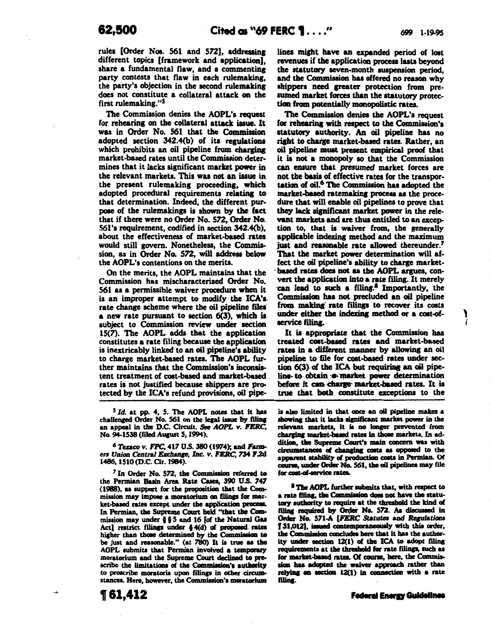' j'

rules [Order Nos. 561 and 572], addressing different topics [framework and application], share a fundamental flaw, and a commenting party contests that flaw in each rulemaking, the party's objection in the second rulemakins does not constitute a collateral attack on the first rulemaking."<sup>5</sup>

The Commission denies the AOPL's request for rehearing on the collateral attack issue. It was in Order No. 561 that the Commission adopted section 342.4(b) of its regulations which prohibits an oil pipeline from charging market-based rates until the Commission determines that it lacks significant market power in the relevant markets. This was not an issue in the present rulemaking proceeding. which adopted procedural requirements relating to that determination. Indeed, the different purpose of the rulemakinga is shown by tbe fact that if there were no Order No. 572, Order No-. 56l's requirement, codified in section 342.4(b), about the effectiveness of market-based rates would still govern. Nonetheless, the Commission, as in Order No. 572, will address below the AOPL's contentions on the merits.

On the merits, the AOPL maintains that the Commission has mischaracterized Order No. 561 as a permissible waiver procedure when it is an improper attempt to modify the ICA'a. rate change scheme where the oil pipeline files a new rate pursuant to section 6(3), which is subject to Commission review under section. 15(7). The AOPL. adda that the application constitutes a rate filing because the applicatioa is inextricably linked to an oil pipeline's ability to charge market-based rates. The AOPL further maintains that the Commission's inconsistent treatment of cost-based and market-based rates is not justified because shippers are protected by the ICA's refund provisions, oil pipe-

5 *Id.* at pp. 4, 5. The AOPL notes that it bas challenged Order No. 561 on the legal issue by filing an appeal in the D.C. Circuit. See AOPL *v. FERC*, No. 94-1538 (filed Aupat *S,* 1994).

<sup>6</sup> Texaco *v. FPC*, 417 U.S. 380 (1974); and *Farm-*<br>ers Union Central Exchange, Inc. v. FERC, 734 F.2d 1486, 1510(D.C. Cir.1984).

 $<sup>7</sup>$  In Order No. 572, the Commission referred to</sup> the Permian Basin Area Rate Cases, 390 U.S. 747 (1988), as support for the proposition that the Commission may impose a moratorium on filings for market-based rates except under the application process. In Permian, the Supreme Court held "tbat tbe Onmission may under  $\S$   $\S$  5 and 16 [of the Natural Gas Act] restrict filings under  $$4(d)$  of proposed rates higher than those determined by the Commission to be just and reasonable." (at 780) It is true as the AOPL submits that Permian involved a temporary moratorium and the Supreme Court declined to prescribe the limitations of the Commission's authority to proscribe moratoria upon filings in other circumstances. Here, however, the Commission's moratorium

t61,412

lines might have an expanded period of lost revenues if the application process lasts beyond the statutory seven-month suspension period, and the Commission bas offered no reason why shippers need greater protection from presumed market forces than the statutory protection from potentially monopolistic rates.

The Commission denies the AOPL's request for rehearing with respect to the Commission's statutory authority. An oil pipeline bas no right to charge market-based rates. Rather, an oil pipeline must present empirical proof that it is not. a monopoly so that the Commission can ensure that presumed market forces are not the basis of effective rates for the transportation of oil.<sup>6</sup> The Commission has adopted the market-based ratemaking process as the procedure that will enable oil pipelines to prove that they lack sipificant market power in the relevant markets and are thus entitled to an exception to, that is waiver from, the generally applicable indexing method and the maximum just and reasonable rate allowed thereunder.<sup>7</sup> That the market power determination will affect the oil pipeline's ability to charge marketbased rates does not as the AOPL argues, convert the application into a rate filing. It merely can lead to such a filing.<sup>8</sup> Importantly, the Commission has not precluded an oil pipeline from making rate filings to recover its costs under either the indexing method or a cost-ofservice filing.

It is appropriate that the Commission has treated coet-based rates and market-based rates in a different manner by allowing an oil pipeline to file for cost-based rates under section 6(3) of the ICA but requiring an oil pipeline- to obtain  $\cdot\bullet$  market power determination. before it can charge market-based rates. It is true that both constitute exceptions to the

is also limited in that once an oil pipeline makes a showing that it lacks significant market power in the relevant markets, it is no longer prevented from charging market-based rates in those markets. In addition, the Supreme Court's main concern was with circumstances of changing costs as opposed to the apparent stability of production costs in Permian. Of course, under Order No. 561, the oil pipelines may file for cost-of-service rates.

<sup>8</sup> The AOPL further submits that, with respect to a rate filing, the Commission does not have the statutary authority to require at the threshold the kind of filing required by Order No. 572. As discussed in Order No. 571-A [FERC Statutes and Regulations [31,012], issued contemporaneously with this order, the Commission concludes here that it has the authority under section  $12(1)$  of the ICA to adopt filing requirements at the threshold for rate filings, such as for market-based rates. Of course, here, the Commission has adopted the waiver approach rather than relying on section  $12(1)$  in connection with a rate filing.

**Federal Energy Guidelines**